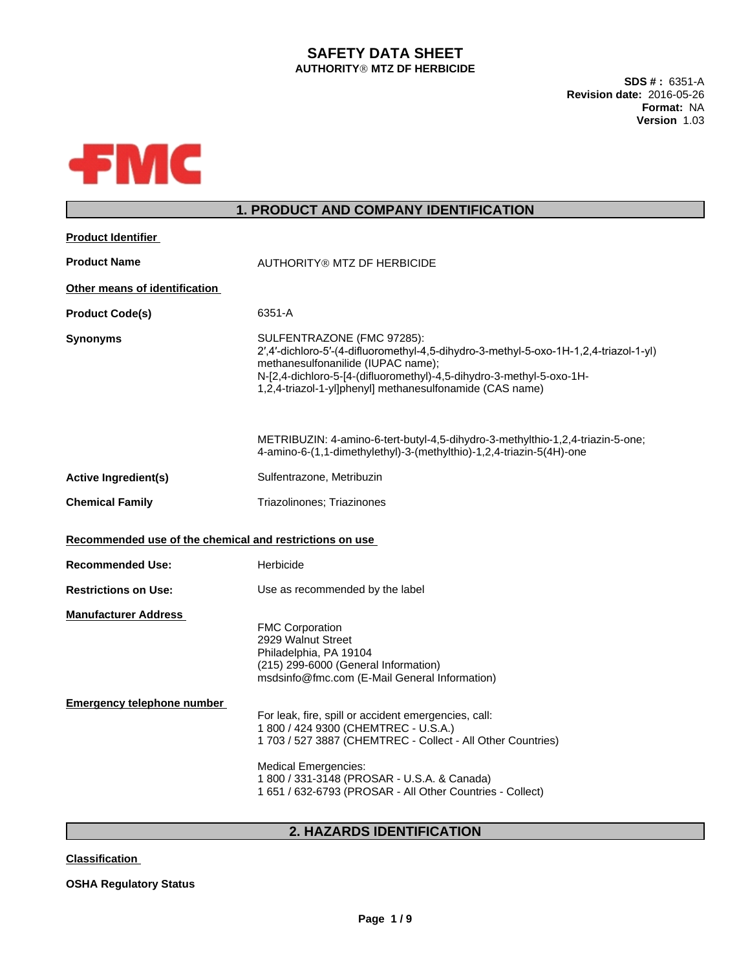## **SAFETY DATA SHEET AUTHORITYÒMTZ DF HERBICIDE**

**SDS # :** 6351-A **Revision date:** 2016-05-26 **Format:** NA **Version** 1.03



## **1. PRODUCT AND COMPANY IDENTIFICATION**

| <b>Product Identifier</b>                               |                                                                                                                                                                                                                                                                                                        |
|---------------------------------------------------------|--------------------------------------------------------------------------------------------------------------------------------------------------------------------------------------------------------------------------------------------------------------------------------------------------------|
| <b>Product Name</b>                                     | <b>AUTHORITY® MTZ DF HERBICIDE</b>                                                                                                                                                                                                                                                                     |
| Other means of identification                           |                                                                                                                                                                                                                                                                                                        |
| <b>Product Code(s)</b>                                  | 6351-A                                                                                                                                                                                                                                                                                                 |
| <b>Synonyms</b>                                         | SULFENTRAZONE (FMC 97285):<br>2',4'-dichloro-5'-(4-difluoromethyl-4,5-dihydro-3-methyl-5-oxo-1H-1,2,4-triazol-1-yl)<br>methanesulfonanilide (IUPAC name);<br>N-[2,4-dichloro-5-[4-(difluoromethyl)-4,5-dihydro-3-methyl-5-oxo-1H-<br>1,2,4-triazol-1-yl]phenyl] methanesulfonamide (CAS name)          |
|                                                         | METRIBUZIN: 4-amino-6-tert-butyl-4,5-dihydro-3-methylthio-1,2,4-triazin-5-one;<br>4-amino-6-(1,1-dimethylethyl)-3-(methylthio)-1,2,4-triazin-5(4H)-one                                                                                                                                                 |
| <b>Active Ingredient(s)</b>                             | Sulfentrazone, Metribuzin                                                                                                                                                                                                                                                                              |
| <b>Chemical Family</b>                                  | Triazolinones; Triazinones                                                                                                                                                                                                                                                                             |
| Recommended use of the chemical and restrictions on use |                                                                                                                                                                                                                                                                                                        |
| <b>Recommended Use:</b>                                 | Herbicide                                                                                                                                                                                                                                                                                              |
| <b>Restrictions on Use:</b>                             | Use as recommended by the label                                                                                                                                                                                                                                                                        |
| <b>Manufacturer Address</b>                             | <b>FMC Corporation</b><br>2929 Walnut Street<br>Philadelphia, PA 19104<br>(215) 299-6000 (General Information)<br>msdsinfo@fmc.com (E-Mail General Information)                                                                                                                                        |
| <b>Emergency telephone number</b>                       | For leak, fire, spill or accident emergencies, call:<br>1 800 / 424 9300 (CHEMTREC - U.S.A.)<br>1 703 / 527 3887 (CHEMTREC - Collect - All Other Countries)<br><b>Medical Emergencies:</b><br>1 800 / 331-3148 (PROSAR - U.S.A. & Canada)<br>1 651 / 632-6793 (PROSAR - All Other Countries - Collect) |
|                                                         |                                                                                                                                                                                                                                                                                                        |

## **2. HAZARDS IDENTIFICATION**

**Classification**

**OSHA Regulatory Status**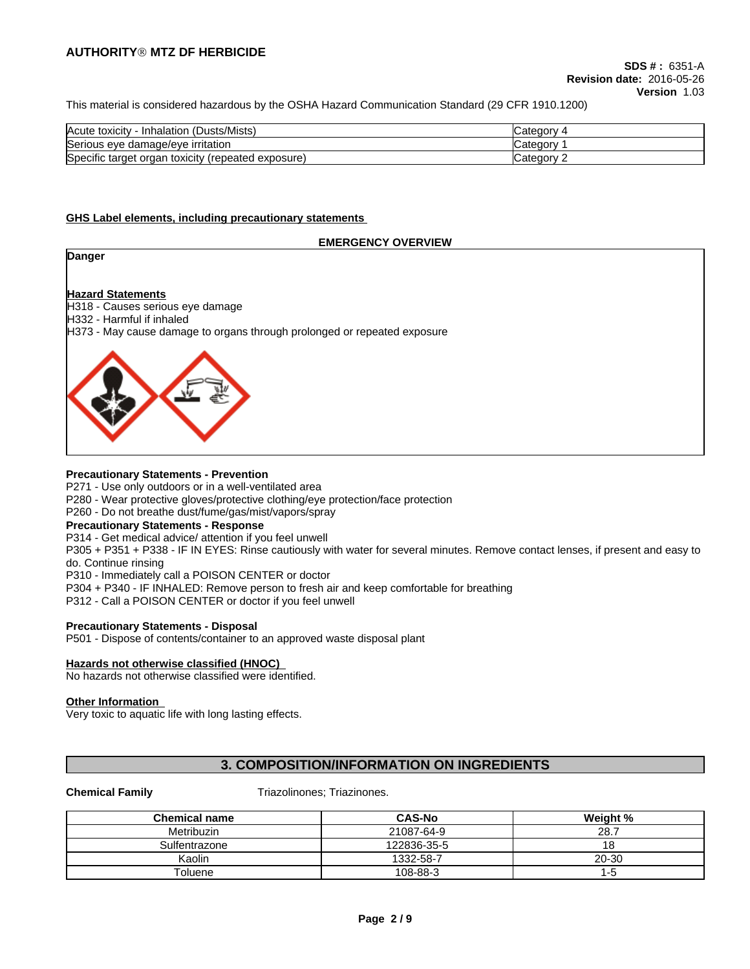## **AUTHORITYÒMTZ DF HERBICIDE**

This material is considered hazardous by the OSHA Hazard Communication Standard (29 CFR 1910.1200)

| Acute toxicity<br>(Dusts/Mists)<br>Inhalation                 | ″ ategory۔ |
|---------------------------------------------------------------|------------|
| Serious eye damage/eye irritation                             | ″ ategoryٽ |
| Specific target<br>ı toxicitv<br>(repeated exposure)<br>organ | ∵ ategoryٽ |

#### **GHS Label elements, including precautionary statements**

#### **EMERGENCY OVERVIEW**

**Danger**

#### **Hazard Statements**

H318 - Causes serious eye damage

H332 - Harmful if inhaled

H373 - May cause damage to organs through prolonged or repeated exposure



#### **Precautionary Statements - Prevention**

P271 - Use only outdoors or in a well-ventilated area

P280 - Wear protective gloves/protective clothing/eye protection/face protection

P260 - Do not breathe dust/fume/gas/mist/vapors/spray

#### **Precautionary Statements - Response**

P314 - Get medical advice/ attention if you feel unwell

P305 + P351 + P338 - IF IN EYES: Rinse cautiously with water forseveral minutes. Remove contact lenses, if present and easy to do. Continue rinsing

P310 - Immediately call a POISON CENTER or doctor

P304 + P340 - IF INHALED: Remove person to fresh air and keep comfortable for breathing

P312 - Call a POISON CENTER or doctor if you feel unwell

#### **Precautionary Statements - Disposal**

P501 - Dispose of contents/container to an approved waste disposal plant

#### **Hazards not otherwise classified (HNOC)**

No hazards not otherwise classified were identified.

#### **Other Information**

Very toxic to aquatic life with long lasting effects.

## **3. COMPOSITION/INFORMATION ON INGREDIENTS**

**Chemical Family** Triazolinones; Triazinones.

| <b>Chemical name</b> | <b>CAS-No</b> | Weight % |
|----------------------|---------------|----------|
| Metribuzin           | 21087-64-9    | 28.7     |
| Sulfentrazone        | 122836-35-5   | o        |
| Kaolin               | 1332-58-7     | 20-30    |
| Toluene              | 108-88-3      | כ-ו      |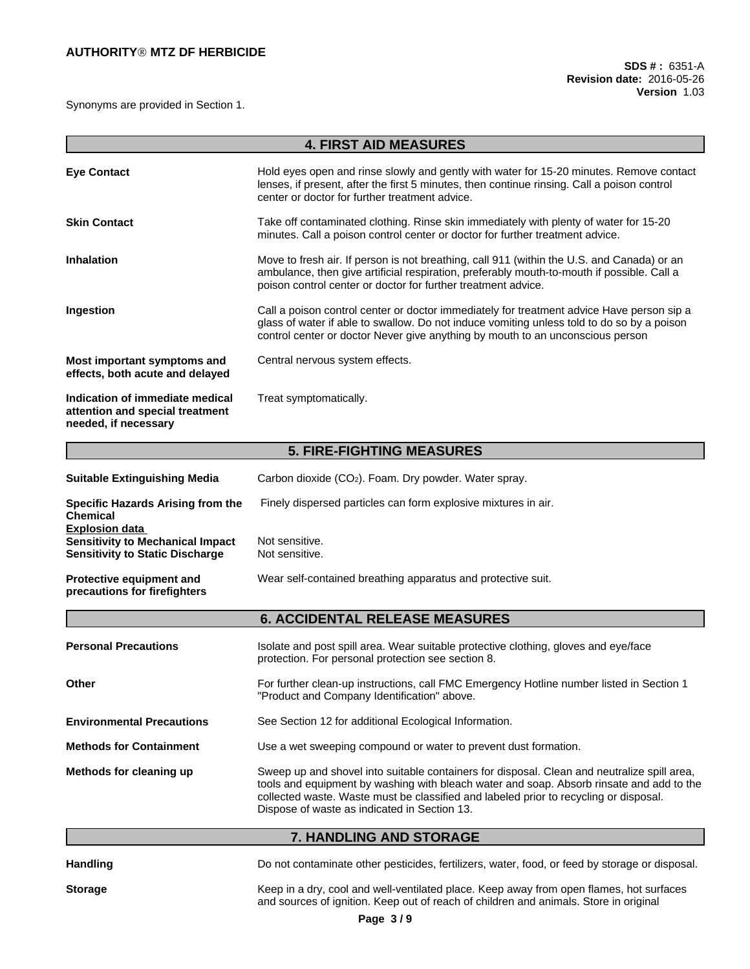### **AUTHORITYÒMTZ DF HERBICIDE**

Synonyms are provided in Section 1.

|                                                                                                            | <b>4. FIRST AID MEASURES</b>                                                                                                                                                                                                                                                                                                     |  |  |  |  |  |
|------------------------------------------------------------------------------------------------------------|----------------------------------------------------------------------------------------------------------------------------------------------------------------------------------------------------------------------------------------------------------------------------------------------------------------------------------|--|--|--|--|--|
| <b>Eye Contact</b>                                                                                         | Hold eyes open and rinse slowly and gently with water for 15-20 minutes. Remove contact<br>lenses, if present, after the first 5 minutes, then continue rinsing. Call a poison control<br>center or doctor for further treatment advice.                                                                                         |  |  |  |  |  |
| <b>Skin Contact</b>                                                                                        | Take off contaminated clothing. Rinse skin immediately with plenty of water for 15-20<br>minutes. Call a poison control center or doctor for further treatment advice.                                                                                                                                                           |  |  |  |  |  |
| <b>Inhalation</b>                                                                                          | Move to fresh air. If person is not breathing, call 911 (within the U.S. and Canada) or an<br>ambulance, then give artificial respiration, preferably mouth-to-mouth if possible. Call a<br>poison control center or doctor for further treatment advice.                                                                        |  |  |  |  |  |
| Ingestion                                                                                                  | Call a poison control center or doctor immediately for treatment advice Have person sip a<br>glass of water if able to swallow. Do not induce vomiting unless told to do so by a poison<br>control center or doctor Never give anything by mouth to an unconscious person                                                        |  |  |  |  |  |
| Most important symptoms and<br>effects, both acute and delayed                                             | Central nervous system effects.                                                                                                                                                                                                                                                                                                  |  |  |  |  |  |
| Indication of immediate medical<br>attention and special treatment<br>needed, if necessary                 | Treat symptomatically.                                                                                                                                                                                                                                                                                                           |  |  |  |  |  |
|                                                                                                            | <b>5. FIRE-FIGHTING MEASURES</b>                                                                                                                                                                                                                                                                                                 |  |  |  |  |  |
| <b>Suitable Extinguishing Media</b>                                                                        | Carbon dioxide (CO <sub>2</sub> ). Foam. Dry powder. Water spray.                                                                                                                                                                                                                                                                |  |  |  |  |  |
| Specific Hazards Arising from the<br><b>Chemical</b>                                                       | Finely dispersed particles can form explosive mixtures in air.                                                                                                                                                                                                                                                                   |  |  |  |  |  |
| <b>Explosion data</b><br><b>Sensitivity to Mechanical Impact</b><br><b>Sensitivity to Static Discharge</b> | Not sensitive.<br>Not sensitive.                                                                                                                                                                                                                                                                                                 |  |  |  |  |  |
| Protective equipment and<br>precautions for firefighters                                                   | Wear self-contained breathing apparatus and protective suit.                                                                                                                                                                                                                                                                     |  |  |  |  |  |
|                                                                                                            | <b>6. ACCIDENTAL RELEASE MEASURES</b>                                                                                                                                                                                                                                                                                            |  |  |  |  |  |
| <b>Personal Precautions</b>                                                                                | Isolate and post spill area. Wear suitable protective clothing, gloves and eye/face<br>protection. For personal protection see section 8.                                                                                                                                                                                        |  |  |  |  |  |
| Other                                                                                                      | For further clean-up instructions, call FMC Emergency Hotline number listed in Section 1<br>"Product and Company Identification" above.                                                                                                                                                                                          |  |  |  |  |  |
| <b>Environmental Precautions</b>                                                                           | See Section 12 for additional Ecological Information.                                                                                                                                                                                                                                                                            |  |  |  |  |  |
| <b>Methods for Containment</b>                                                                             | Use a wet sweeping compound or water to prevent dust formation.                                                                                                                                                                                                                                                                  |  |  |  |  |  |
| Methods for cleaning up                                                                                    | Sweep up and shovel into suitable containers for disposal. Clean and neutralize spill area,<br>tools and equipment by washing with bleach water and soap. Absorb rinsate and add to the<br>collected waste. Waste must be classified and labeled prior to recycling or disposal.<br>Dispose of waste as indicated in Section 13. |  |  |  |  |  |
|                                                                                                            | 7. HANDLING AND STORAGE                                                                                                                                                                                                                                                                                                          |  |  |  |  |  |

Handling **Handling** Do not contaminate other pesticides, fertilizers, water, food, or feed by storage or disposal.

Storage **Storage** Keep in a dry, cool and well-ventilated place. Keep away from open flames, hot surfaces and sources of ignition. Keep out of reach of children and animals. Store in original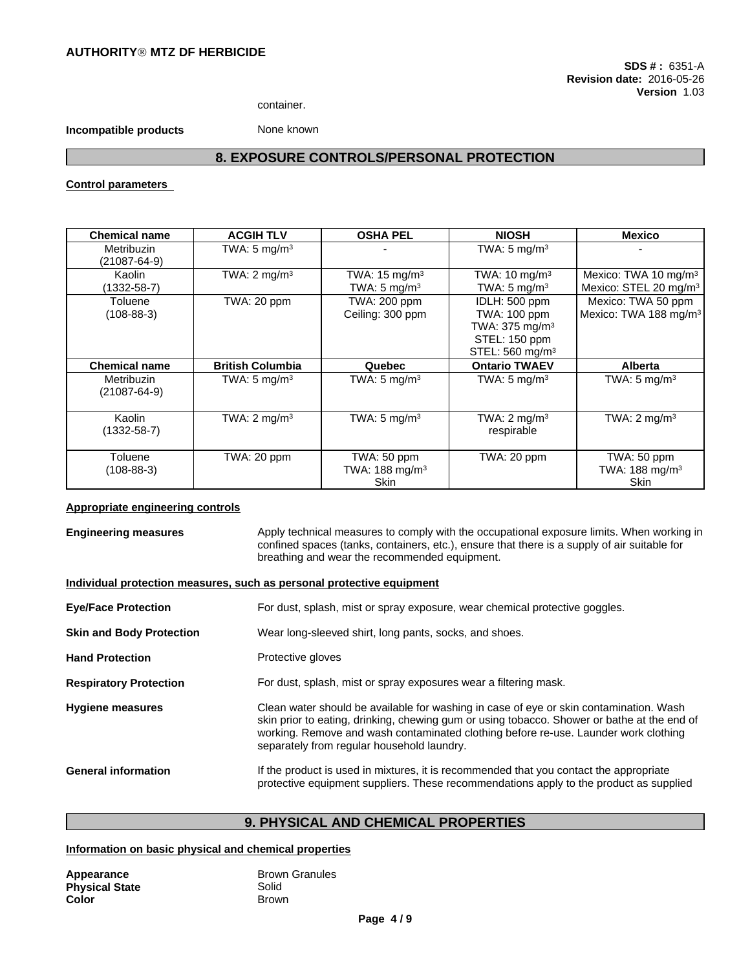container.

**Incompatible products** None known

## **8. EXPOSURE CONTROLS/PERSONAL PROTECTION**

**Control parameters**

| <b>Chemical name</b>             | <b>ACGIH TLV</b>         | <b>OSHA PEL</b>                                          | <b>NIOSH</b>                          | Mexico                                                   |
|----------------------------------|--------------------------|----------------------------------------------------------|---------------------------------------|----------------------------------------------------------|
| Metribuzin<br>(21087-64-9)       | TWA: $5 \text{ mg/m}^3$  |                                                          | TWA: 5 mg/m <sup>3</sup>              |                                                          |
| Kaolin                           | TWA: $2 \text{ mg/m}^3$  | TWA: $15 \text{ mg/m}^3$                                 | TWA: 10 mg/m <sup>3</sup>             | Mexico: TWA 10 mg/m <sup>3</sup>                         |
| (1332-58-7)                      |                          | TWA: $5 \text{ mg/m}^3$                                  | TWA: $5 \text{ mg/m}^3$               | Mexico: STEL 20 mg/m <sup>3</sup>                        |
| Toluene                          | TWA: 20 ppm              | TWA: 200 ppm                                             | IDLH: 500 ppm                         | Mexico: TWA 50 ppm                                       |
| $(108-88-3)$                     |                          | Ceiling: 300 ppm                                         | TWA: 100 ppm                          | Mexico: TWA 188 mg/m <sup>3</sup>                        |
|                                  |                          |                                                          | TWA: $375 \text{ mg/m}^3$             |                                                          |
|                                  |                          |                                                          | STEL: 150 ppm                         |                                                          |
|                                  |                          |                                                          | STEL: 560 mg/m <sup>3</sup>           |                                                          |
| <b>Chemical name</b>             | <b>British Columbia</b>  | Quebec                                                   | <b>Ontario TWAEV</b>                  | <b>Alberta</b>                                           |
| Metribuzin<br>$(21087 - 64 - 9)$ | TWA: 5 mg/m <sup>3</sup> | TWA: $5 \text{ mg/m}^3$                                  | TWA: 5 mg/m <sup>3</sup>              | TWA: 5 mg/m <sup>3</sup>                                 |
| Kaolin<br>$(1332 - 58 - 7)$      | TWA: $2 \text{ mg/m}^3$  | TWA: $5 \text{ mg/m}^3$                                  | TWA: $2 \text{ mg/m}^3$<br>respirable | TWA: $2 \text{ mg/m}^3$                                  |
| Toluene<br>$(108-88-3)$          | TWA: 20 ppm              | TWA: 50 ppm<br>TWA: 188 mg/m <sup>3</sup><br><b>Skin</b> | TWA: 20 ppm                           | TWA: 50 ppm<br>TWA: 188 mg/m <sup>3</sup><br><b>Skin</b> |

#### **Appropriate engineering controls**

**Engineering measures** Apply technical measures to comply with the occupational exposure limits. When working in confined spaces (tanks, containers, etc.), ensure that there is a supply of air suitable for breathing and wear the recommended equipment.

### **Individual protection measures, such as personal protective equipment**

| <b>Eye/Face Protection</b>      | For dust, splash, mist or spray exposure, wear chemical protective goggles.                                                                                                                                                                                                                                                |
|---------------------------------|----------------------------------------------------------------------------------------------------------------------------------------------------------------------------------------------------------------------------------------------------------------------------------------------------------------------------|
| <b>Skin and Body Protection</b> | Wear long-sleeved shirt, long pants, socks, and shoes.                                                                                                                                                                                                                                                                     |
| <b>Hand Protection</b>          | Protective gloves                                                                                                                                                                                                                                                                                                          |
| <b>Respiratory Protection</b>   | For dust, splash, mist or spray exposures wear a filtering mask.                                                                                                                                                                                                                                                           |
| <b>Hygiene measures</b>         | Clean water should be available for washing in case of eye or skin contamination. Wash<br>skin prior to eating, drinking, chewing gum or using tobacco. Shower or bathe at the end of<br>working. Remove and wash contaminated clothing before re-use. Launder work clothing<br>separately from regular household laundry. |
| <b>General information</b>      | If the product is used in mixtures, it is recommended that you contact the appropriate<br>protective equipment suppliers. These recommendations apply to the product as supplied                                                                                                                                           |

## **9. PHYSICAL AND CHEMICAL PROPERTIES**

#### **Information on basic physical and chemical properties**

| Appearance            | <b>Brown Granules</b> |
|-----------------------|-----------------------|
| <b>Physical State</b> | Solid                 |
| Color                 | <b>Brown</b>          |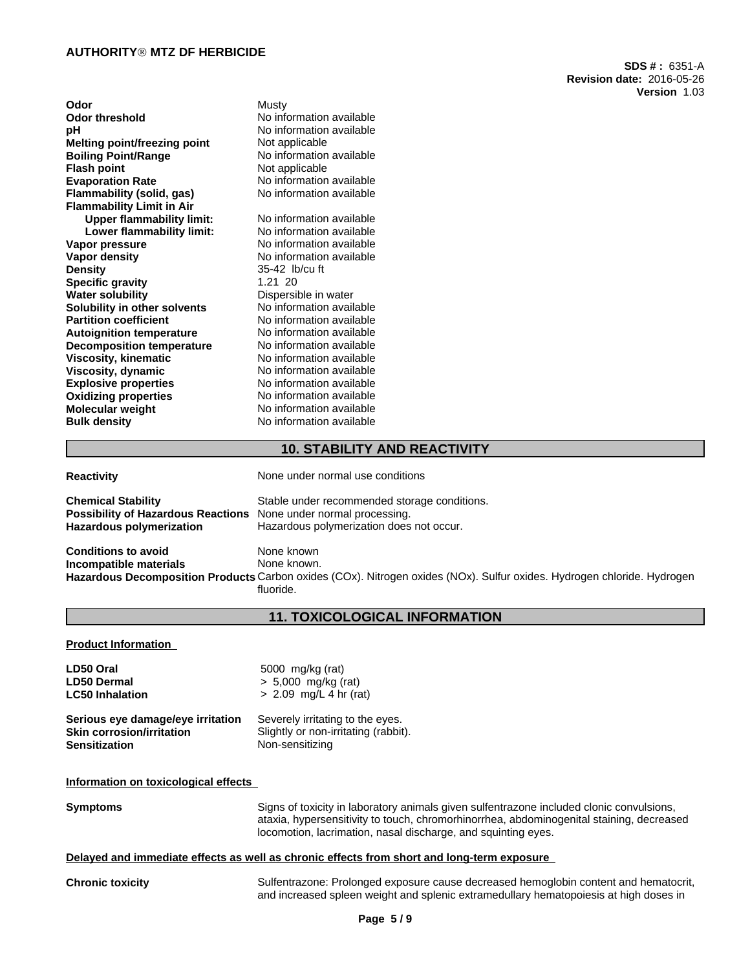#### **AUTHORITYÒMTZ DF HERBICIDE**

**Odor** Musty Musty **Odor threshold** No information available **pH** No information available **Melting point/freezing point** Not applicable<br> **Boiling Point/Range** No information **Boiling Point/Range No information available**<br> **Plash point Plash point Plash point Evaporation Rate** No information available **Flammability (solid, gas)** No information available **Flammability Limit in Air Upper flammability limit:** No information available<br> **Lower flammability limit:** No information available **Lower flammability limit: Vapor pressure No information available**<br> **Vapor density No information available Vapor density**<br> **Density**<br> **Density**<br> **CO** 35-42 lb/cu ft **Specific gravity 1.21 20**<br> **Water solubility CONS** Dispersible in water **Water solubility Solubility in other solvents** No information available **Partition coefficient** No information available **Autoignition temperature** No information available **Decomposition temperature** No information available **Viscosity, kinematic** No information available **Viscosity, dynamic** No information available **Explosive properties** No information available **Oxidizing properties** No information available **Molecular weight** No information available **Bulk density** No information available

**Not applicable Density** 35-42 lb/cu ft

**SDS # :** 6351-A **Revision date:** 2016-05-26 **Version** 1.03

## **10. STABILITY AND REACTIVITY**

| <b>Reactivity</b>                                                | None under normal use conditions                                                                                        |
|------------------------------------------------------------------|-------------------------------------------------------------------------------------------------------------------------|
| <b>Chemical Stability</b>                                        | Stable under recommended storage conditions.                                                                            |
| Possibility of Hazardous Reactions None under normal processing. |                                                                                                                         |
| Hazardous polymerization                                         | Hazardous polymerization does not occur.                                                                                |
| <b>Conditions to avoid</b>                                       | None known                                                                                                              |
| Incompatible materials                                           | None known.                                                                                                             |
|                                                                  | Hazardous Decomposition Products Carbon oxides (COx). Nitrogen oxides (NOx). Sulfur oxides. Hydrogen chloride. Hydrogen |
|                                                                  | fluoride.                                                                                                               |
|                                                                  |                                                                                                                         |

### **11. TOXICOLOGICAL INFORMATION**

|--|

| LD50 Oral                         | 5000 mg/kg (rat)                     |
|-----------------------------------|--------------------------------------|
| <b>LD50 Dermal</b>                | $> 5,000$ mg/kg (rat)                |
| <b>LC50 Inhalation</b>            | $> 2.09$ mg/L 4 hr (rat)             |
| Serious eye damage/eye irritation | Severely irritating to the eyes.     |
| <b>Skin corrosion/irritation</b>  | Slightly or non-irritating (rabbit). |
| <b>Sensitization</b>              | Non-sensitizing                      |

#### **Information on toxicological effects**

**Symptoms** Signs of toxicity in laboratory animals given sulfentrazone included clonic convulsions, ataxia, hypersensitivity to touch, chromorhinorrhea, abdominogenital staining, decreased locomotion, lacrimation, nasal discharge, and squinting eyes.

#### **Delayed and immediate effects as well as chronic effects from short and long-term exposure**

**Chronic toxicity** Sulfentrazone: Prolonged exposure cause decreased hemoglobin content and hematocrit,<br>and increased spleen weight and splenic extramedullary hematopoiesis at high doses in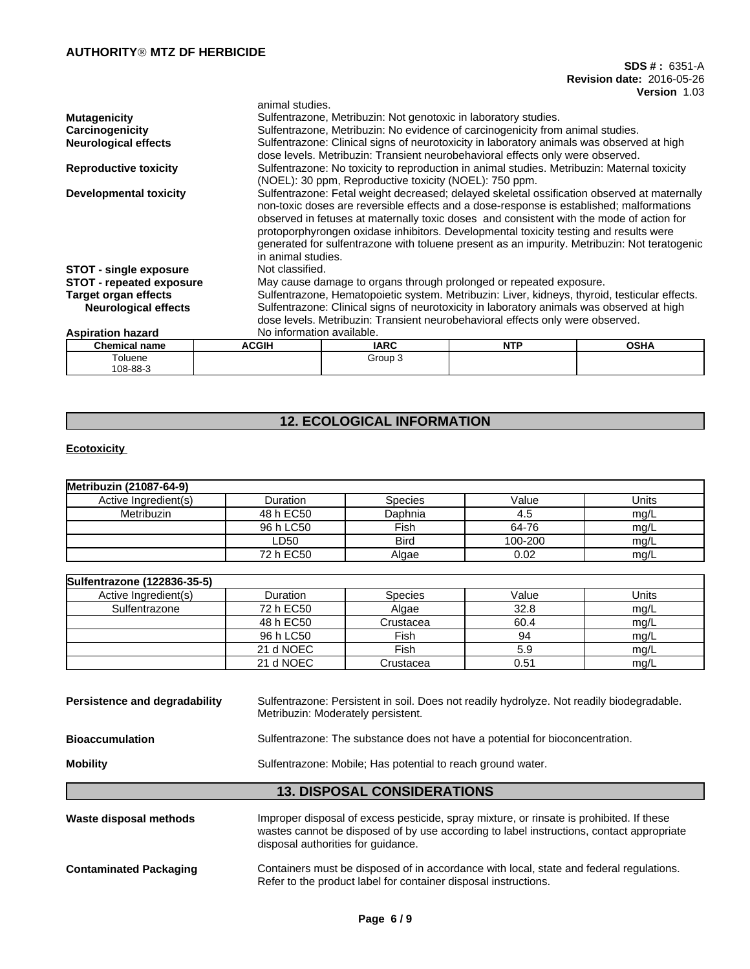#### **SDS # :** 6351-A **Revision date:** 2016-05-26 **Version** 1.03

|                                 | animal studies.           |                                                                                                                                                                                                                                                                                                                                                                                                                                                                              |  |  |  |  |  |  |  |
|---------------------------------|---------------------------|------------------------------------------------------------------------------------------------------------------------------------------------------------------------------------------------------------------------------------------------------------------------------------------------------------------------------------------------------------------------------------------------------------------------------------------------------------------------------|--|--|--|--|--|--|--|
| <b>Mutagenicity</b>             |                           | Sulfentrazone, Metribuzin: Not genotoxic in laboratory studies.                                                                                                                                                                                                                                                                                                                                                                                                              |  |  |  |  |  |  |  |
| Carcinogenicity                 |                           | Sulfentrazone, Metribuzin: No evidence of carcinogenicity from animal studies.                                                                                                                                                                                                                                                                                                                                                                                               |  |  |  |  |  |  |  |
| <b>Neurological effects</b>     |                           | Sulfentrazone: Clinical signs of neurotoxicity in laboratory animals was observed at high<br>dose levels. Metribuzin: Transient neurobehavioral effects only were observed.                                                                                                                                                                                                                                                                                                  |  |  |  |  |  |  |  |
| <b>Reproductive toxicity</b>    |                           | Sulfentrazone: No toxicity to reproduction in animal studies. Metribuzin: Maternal toxicity<br>(NOEL): 30 ppm, Reproductive toxicity (NOEL): 750 ppm.                                                                                                                                                                                                                                                                                                                        |  |  |  |  |  |  |  |
| <b>Developmental toxicity</b>   | in animal studies.        | Sulfentrazone: Fetal weight decreased; delayed skeletal ossification observed at maternally<br>non-toxic doses are reversible effects and a dose-response is established; malformations<br>observed in fetuses at maternally toxic doses and consistent with the mode of action for<br>protoporphyrongen oxidase inhibitors. Developmental toxicity testing and results were<br>generated for sulfentrazone with toluene present as an impurity. Metribuzin: Not teratogenic |  |  |  |  |  |  |  |
| <b>STOT - single exposure</b>   | Not classified.           |                                                                                                                                                                                                                                                                                                                                                                                                                                                                              |  |  |  |  |  |  |  |
| <b>STOT - repeated exposure</b> |                           | May cause damage to organs through prolonged or repeated exposure.                                                                                                                                                                                                                                                                                                                                                                                                           |  |  |  |  |  |  |  |
| <b>Target organ effects</b>     |                           | Sulfentrazone, Hematopoietic system. Metribuzin: Liver, kidneys, thyroid, testicular effects.                                                                                                                                                                                                                                                                                                                                                                                |  |  |  |  |  |  |  |
| <b>Neurological effects</b>     |                           | Sulfentrazone: Clinical signs of neurotoxicity in laboratory animals was observed at high<br>dose levels. Metribuzin: Transient neurobehavioral effects only were observed.                                                                                                                                                                                                                                                                                                  |  |  |  |  |  |  |  |
| <b>Aspiration hazard</b>        | No information available. |                                                                                                                                                                                                                                                                                                                                                                                                                                                                              |  |  |  |  |  |  |  |
| <b>Chemical name</b>            | <b>ACGIH</b>              | <b>IARC</b><br><b>NTP</b><br><b>OSHA</b>                                                                                                                                                                                                                                                                                                                                                                                                                                     |  |  |  |  |  |  |  |
| Toluene                         |                           | Group 3                                                                                                                                                                                                                                                                                                                                                                                                                                                                      |  |  |  |  |  |  |  |

# **12. ECOLOGICAL INFORMATION**

## **Ecotoxicity**

108-88-3

| Metribuzin (21087-64-9) |           |                |         |       |
|-------------------------|-----------|----------------|---------|-------|
| Active Ingredient(s)    | Duration  | <b>Species</b> | Value   | Units |
| Metribuzin              | 48 h EC50 | Daphnia        | 4.5     | mg/L  |
|                         | 96 h LC50 | Fish           | 64-76   | mg/L  |
|                         | LD50      | <b>Bird</b>    | 100-200 | mg/L  |
|                         | 72 h EC50 | Algae          | 0.02    | mg/L  |

## **Sulfentrazone (122836-35-5)**

| Active Ingredient(s) | Duration  | <b>Species</b> | Value | Units |
|----------------------|-----------|----------------|-------|-------|
| Sulfentrazone        | 72 h EC50 | Algae          | 32.8  | mg/L  |
|                      | 48 h EC50 | Crustacea      | 60.4  | mg/L  |
|                      | 96 h LC50 | Fish           | 94    | mg/L  |
|                      | 21 d NOEC | Fish           | 5.9   | mg/L  |
|                      | 21 d NOEC | Crustacea      | 0.51  | mg/L  |

| Persistence and degradability | Sulfentrazone: Persistent in soil. Does not readily hydrolyze. Not readily biodegradable.<br>Metribuzin: Moderately persistent. |
|-------------------------------|---------------------------------------------------------------------------------------------------------------------------------|
| <b>Bioaccumulation</b>        | Sulfentrazone: The substance does not have a potential for bioconcentration.                                                    |
| <b>Mobility</b>               | Sulfentrazone: Mobile; Has potential to reach ground water.                                                                     |

## **13. DISPOSAL CONSIDERATIONS**

| Waste disposal methods        | Improper disposal of excess pesticide, spray mixture, or rinsate is prohibited. If these<br>wastes cannot be disposed of by use according to label instructions, contact appropriate<br>disposal authorities for quidance. |
|-------------------------------|----------------------------------------------------------------------------------------------------------------------------------------------------------------------------------------------------------------------------|
| <b>Contaminated Packaging</b> | Containers must be disposed of in accordance with local, state and federal regulations.<br>Refer to the product label for container disposal instructions.                                                                 |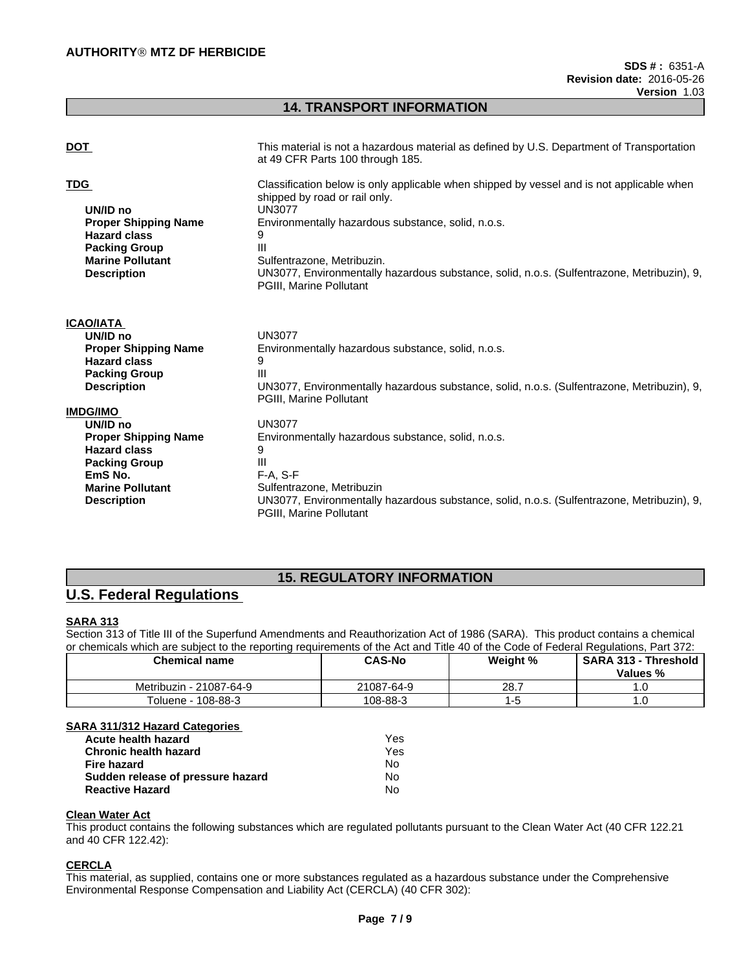## **14. TRANSPORT INFORMATION**

| <b>DOT</b>                                                                                                                                            | This material is not a hazardous material as defined by U.S. Department of Transportation<br>at 49 CFR Parts 100 through 185.                                                                                                                                                                                                                                        |
|-------------------------------------------------------------------------------------------------------------------------------------------------------|----------------------------------------------------------------------------------------------------------------------------------------------------------------------------------------------------------------------------------------------------------------------------------------------------------------------------------------------------------------------|
| <b>TDG</b><br>UN/ID no<br><b>Proper Shipping Name</b><br><b>Hazard class</b><br><b>Packing Group</b><br><b>Marine Pollutant</b><br><b>Description</b> | Classification below is only applicable when shipped by vessel and is not applicable when<br>shipped by road or rail only.<br><b>UN3077</b><br>Environmentally hazardous substance, solid, n.o.s.<br>9<br>III<br>Sulfentrazone, Metribuzin.<br>UN3077, Environmentally hazardous substance, solid, n.o.s. (Sulfentrazone, Metribuzin), 9,<br>PGIII, Marine Pollutant |
| <b>ICAO/IATA</b>                                                                                                                                      |                                                                                                                                                                                                                                                                                                                                                                      |
| UN/ID no                                                                                                                                              | <b>UN3077</b>                                                                                                                                                                                                                                                                                                                                                        |
| <b>Proper Shipping Name</b>                                                                                                                           | Environmentally hazardous substance, solid, n.o.s.                                                                                                                                                                                                                                                                                                                   |
| <b>Hazard class</b>                                                                                                                                   | 9                                                                                                                                                                                                                                                                                                                                                                    |
| <b>Packing Group</b>                                                                                                                                  | Ш                                                                                                                                                                                                                                                                                                                                                                    |
| <b>Description</b>                                                                                                                                    | UN3077, Environmentally hazardous substance, solid, n.o.s. (Sulfentrazone, Metribuzin), 9,<br>PGIII, Marine Pollutant                                                                                                                                                                                                                                                |
| <b>IMDG/IMO</b>                                                                                                                                       |                                                                                                                                                                                                                                                                                                                                                                      |
| UN/ID no                                                                                                                                              | <b>UN3077</b>                                                                                                                                                                                                                                                                                                                                                        |
| <b>Proper Shipping Name</b>                                                                                                                           | Environmentally hazardous substance, solid, n.o.s.                                                                                                                                                                                                                                                                                                                   |
| <b>Hazard class</b>                                                                                                                                   | 9                                                                                                                                                                                                                                                                                                                                                                    |
| <b>Packing Group</b>                                                                                                                                  | III                                                                                                                                                                                                                                                                                                                                                                  |
| EmS No.                                                                                                                                               | $F-A, S-F$                                                                                                                                                                                                                                                                                                                                                           |
| <b>Marine Pollutant</b>                                                                                                                               | Sulfentrazone, Metribuzin                                                                                                                                                                                                                                                                                                                                            |
| <b>Description</b>                                                                                                                                    | UN3077, Environmentally hazardous substance, solid, n.o.s. (Sulfentrazone, Metribuzin), 9,<br>PGIII, Marine Pollutant                                                                                                                                                                                                                                                |

## **15. REGULATORY INFORMATION**

## **U.S. Federal Regulations**

#### **SARA 313**

Section 313 of Title III of the Superfund Amendments and Reauthorization Act of 1986 (SARA). This product contains a chemical or chemicals which are subject to the reporting requirements of the Act and Title 40 of the Code of Federal Regulations, Part 372:

| <b>Chemical name</b>     | <b>CAS-No</b> | Weight % | <b>SARA 313</b><br>Threshold<br>Values % |
|--------------------------|---------------|----------|------------------------------------------|
| Metribuzin<br>21087-64-9 | 21087-64-9    | 28.7     | . .                                      |
| 108-88-3<br>⊺oluene ·    | 108-88-3      |          | ں ،                                      |

#### **SARA 311/312 Hazard Categories**

| Yes |  |
|-----|--|
| Yes |  |
| N٥  |  |
| No  |  |
| No  |  |
|     |  |

## **Clean Water Act**

This product contains the following substances which are regulated pollutants pursuant to the Clean Water Act (40 CFR 122.21 and 40 CFR 122.42):

## **CERCLA**

This material, as supplied, contains one or more substances regulated as a hazardous substance under the Comprehensive Environmental Response Compensation and Liability Act (CERCLA) (40 CFR 302):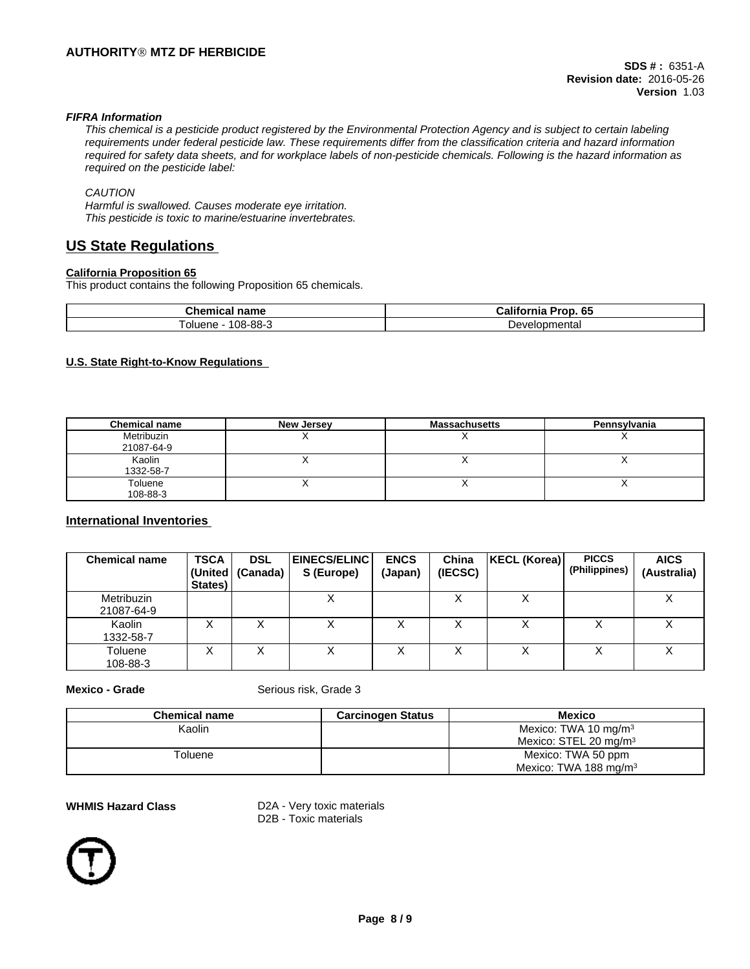#### *FIFRA Information*

This chemical is a pesticide product registered by the Environmental Protection Agency and is subject to certain labeling requirements under federal pesticide law. These requirements differ from the classification criteria and hazard information required for safety data sheets, and for workplace labels of non-pesticide chemicals. Following is the hazard information as *required on the pesticide label:*

#### *CAUTION*

*Harmful is swallowed. Causes moderate eye irritation. This pesticide is toxic to marine/estuarine invertebrates.*

## **US State Regulations**

## **California Proposition 65**

This product contains the following Proposition 65 chemicals.

| $\sim$<br>$$ ner $-$<br>$   -$<br>чанк | <br>65<br>—…alifor" i<br><b>D-2-</b><br>חר·<br>$\overline{\phantom{a}}$<br>шс |
|----------------------------------------|-------------------------------------------------------------------------------|
| ററ<br>$^{\circ}$<br>വ<br>ne<br>,,,,,,, | דור<br>enta                                                                   |

#### **U.S. State Right-to-Know Regulations**

| <b>Chemical name</b>     | <b>New Jersey</b> | <b>Massachusetts</b> | Pennsylvania |
|--------------------------|-------------------|----------------------|--------------|
| Metribuzin<br>21087-64-9 |                   |                      | . .          |
| Kaolin<br>1332-58-7      |                   |                      |              |
| Toluene<br>108-88-3      |                   |                      | $\lambda$    |

### **International Inventories**

| <b>Chemical name</b>     | <b>TSCA</b><br>States) | <b>DSL</b><br>(United   (Canada) | <b>EINECS/ELINC</b><br>S (Europe) | <b>ENCS</b><br>(Japan) | China<br>(IECSC) | KECL (Korea) | <b>PICCS</b><br>(Philippines) | <b>AICS</b><br>(Australia) |
|--------------------------|------------------------|----------------------------------|-----------------------------------|------------------------|------------------|--------------|-------------------------------|----------------------------|
| Metribuzin<br>21087-64-9 |                        |                                  | ∧                                 |                        |                  | ↗            |                               | $\lambda$                  |
| Kaolin<br>1332-58-7      | ∧                      |                                  | ∧                                 |                        |                  |              |                               |                            |
| Toluene<br>108-88-3      | $\cdot$<br>∧           | ∧                                | ⌒                                 |                        |                  | ⌒            | ↗                             |                            |

**Mexico - Grade** Serious risk, Grade 3

| <b>Chemical name</b> | <b>Carcinogen Status</b> | <b>Mexico</b>            |
|----------------------|--------------------------|--------------------------|
| Kaolin               |                          | Mexico: TWA 10 mg/m $3$  |
|                      |                          | Mexico: STEL 20 mg/m $3$ |
| <sup>-</sup> Toluene |                          | Mexico: TWA 50 ppm       |
|                      |                          | Mexico: TWA 188 mg/m $3$ |

**WHMIS Hazard Class** D2A - Very toxic materials D2B - Toxic materials